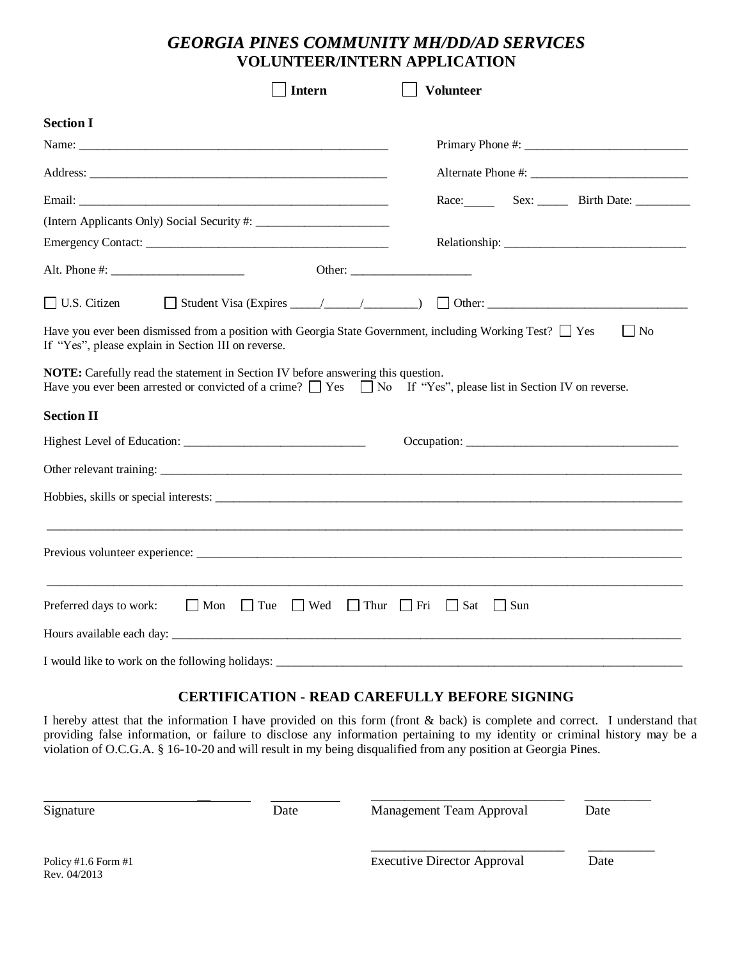# *GEORGIA PINES COMMUNITY MH/DD/AD SERVICES* **VOLUNTEER/INTERN APPLICATION**

|                     |                                                                                                                           | <b>Intern</b> | <b>Volunteer</b> |  |                        |
|---------------------|---------------------------------------------------------------------------------------------------------------------------|---------------|------------------|--|------------------------|
| <b>Section I</b>    |                                                                                                                           |               |                  |  |                        |
|                     |                                                                                                                           |               |                  |  |                        |
|                     |                                                                                                                           |               |                  |  |                        |
|                     |                                                                                                                           |               |                  |  | Race: Sex: Birth Date: |
|                     |                                                                                                                           |               |                  |  |                        |
|                     |                                                                                                                           |               |                  |  |                        |
|                     |                                                                                                                           |               |                  |  |                        |
| $\Box$ U.S. Citizen |                                                                                                                           |               |                  |  |                        |
| <b>Section II</b>   | Have you ever been arrested or convicted of a crime? $\Box$ Yes $\Box$ No If "Yes", please list in Section IV on reverse. |               |                  |  |                        |
|                     |                                                                                                                           |               |                  |  |                        |
|                     |                                                                                                                           |               |                  |  |                        |
|                     |                                                                                                                           |               |                  |  |                        |
|                     | Preferred days to work: $\Box$ Mon $\Box$ Tue $\Box$ Wed $\Box$ Thur $\Box$ Fri $\Box$ Sat $\Box$ Sun                     |               |                  |  |                        |
|                     |                                                                                                                           |               |                  |  |                        |
|                     |                                                                                                                           |               |                  |  |                        |

## **CERTIFICATION - READ CAREFULLY BEFORE SIGNING**

I hereby attest that the information I have provided on this form (front & back) is complete and correct. I understand that providing false information, or failure to disclose any information pertaining to my identity or criminal history may be a violation of O.C.G.A. § 16-10-20 and will result in my being disqualified from any position at Georgia Pines.

| Signature<br>Date                     |  | <b>Management Team Approval</b>    | Date |
|---------------------------------------|--|------------------------------------|------|
| Policy #1.6 Form $#1$<br>Rev. 04/2013 |  | <b>Executive Director Approval</b> | Date |